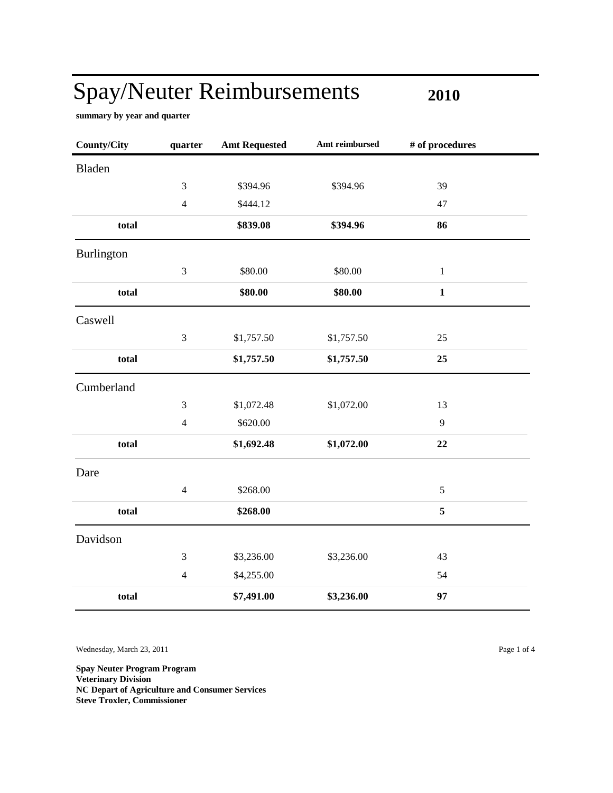**2010**

 $\blacksquare$ 

**summary by year and quarter**

| <b>County/City</b> | quarter        | <b>Amt Requested</b> | Amt reimbursed | # of procedures |
|--------------------|----------------|----------------------|----------------|-----------------|
| <b>Bladen</b>      |                |                      |                |                 |
|                    | 3              | \$394.96             | \$394.96       | 39              |
|                    | $\overline{4}$ | \$444.12             |                | 47              |
| total              |                | \$839.08             | \$394.96       | 86              |
| <b>Burlington</b>  |                |                      |                |                 |
|                    | $\mathfrak{Z}$ | \$80.00              | \$80.00        | $\mathbf{1}$    |
| total              |                | \$80.00              | \$80.00        | $\mathbf{1}$    |
| Caswell            |                |                      |                |                 |
|                    | 3              | \$1,757.50           | \$1,757.50     | 25              |
| total              |                | \$1,757.50           | \$1,757.50     | 25              |
| Cumberland         |                |                      |                |                 |
|                    | $\mathfrak 3$  | \$1,072.48           | \$1,072.00     | 13              |
|                    | $\overline{4}$ | \$620.00             |                | 9               |
| total              |                | \$1,692.48           | \$1,072.00     | 22              |
| Dare               |                |                      |                |                 |
|                    | $\overline{4}$ | \$268.00             |                | $\sqrt{5}$      |
| total              |                | \$268.00             |                | 5               |
| Davidson           |                |                      |                |                 |
|                    | 3              | \$3,236.00           | \$3,236.00     | 43              |
|                    | $\overline{4}$ | \$4,255.00           |                | 54              |
| total              |                | \$7,491.00           | \$3,236.00     | 97              |

Wednesday, March 23, 2011 Page 1 of 4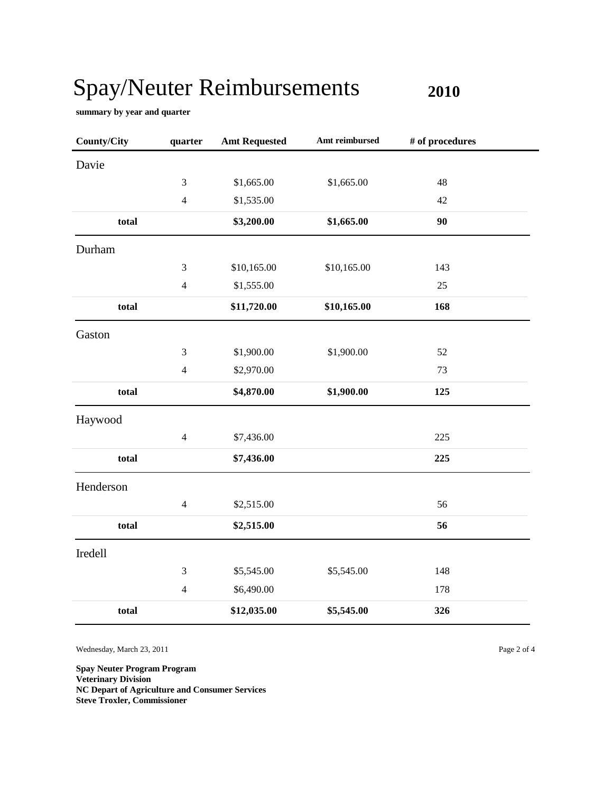**2010**

**summary by year and quarter**

| <b>County/City</b> | quarter                     | <b>Amt Requested</b> | Amt reimbursed | # of procedures |  |
|--------------------|-----------------------------|----------------------|----------------|-----------------|--|
| Davie              |                             |                      |                |                 |  |
|                    | 3                           | \$1,665.00           | \$1,665.00     | 48              |  |
|                    | $\overline{4}$              | \$1,535.00           |                | 42              |  |
| total              |                             | \$3,200.00           | \$1,665.00     | 90              |  |
| Durham             |                             |                      |                |                 |  |
|                    | $\mathfrak 3$               | \$10,165.00          | \$10,165.00    | 143             |  |
|                    | $\overline{4}$              | \$1,555.00           |                | 25              |  |
| total              |                             | \$11,720.00          | \$10,165.00    | 168             |  |
| Gaston             |                             |                      |                |                 |  |
|                    | $\mathfrak{Z}$              | \$1,900.00           | \$1,900.00     | 52              |  |
|                    | $\overline{4}$              | \$2,970.00           |                | 73              |  |
| total              |                             | \$4,870.00           | \$1,900.00     | 125             |  |
| Haywood            |                             |                      |                |                 |  |
|                    | $\overline{4}$              | \$7,436.00           |                | 225             |  |
| total              |                             | \$7,436.00           |                | 225             |  |
| Henderson          |                             |                      |                |                 |  |
|                    | $\overline{4}$              | \$2,515.00           |                | 56              |  |
| total              |                             | \$2,515.00           |                | 56              |  |
| Iredell            |                             |                      |                |                 |  |
|                    | $\ensuremath{\mathfrak{Z}}$ | \$5,545.00           | \$5,545.00     | 148             |  |
|                    | $\overline{4}$              | \$6,490.00           |                | 178             |  |
| total              |                             | \$12,035.00          | \$5,545.00     | 326             |  |

Wednesday, March 23, 2011 Page 2 of 4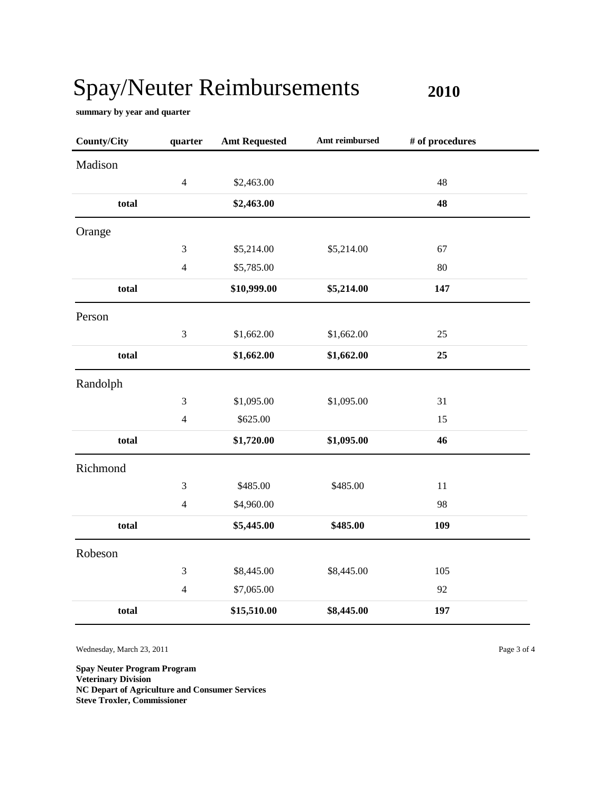**2010**

**summary by year and quarter**

| <b>County/City</b> | quarter        | <b>Amt Requested</b> | Amt reimbursed | # of procedures |  |
|--------------------|----------------|----------------------|----------------|-----------------|--|
| Madison            |                |                      |                |                 |  |
|                    | $\overline{4}$ | \$2,463.00           |                | 48              |  |
| total              |                | \$2,463.00           |                | 48              |  |
| Orange             |                |                      |                |                 |  |
|                    | 3              | \$5,214.00           | \$5,214.00     | 67              |  |
|                    | $\overline{4}$ | \$5,785.00           |                | 80              |  |
| total              |                | \$10,999.00          | \$5,214.00     | 147             |  |
| Person             |                |                      |                |                 |  |
|                    | $\mathfrak 3$  | \$1,662.00           | \$1,662.00     | 25              |  |
| total              |                | \$1,662.00           | \$1,662.00     | 25              |  |
| Randolph           |                |                      |                |                 |  |
|                    | $\mathfrak 3$  | \$1,095.00           | \$1,095.00     | 31              |  |
|                    | $\overline{4}$ | \$625.00             |                | 15              |  |
| total              |                | \$1,720.00           | \$1,095.00     | 46              |  |
| Richmond           |                |                      |                |                 |  |
|                    | $\mathfrak{Z}$ | \$485.00             | \$485.00       | 11              |  |
|                    | $\overline{4}$ | \$4,960.00           |                | 98              |  |
| total              |                | \$5,445.00           | \$485.00       | 109             |  |
| Robeson            |                |                      |                |                 |  |
|                    | 3              | \$8,445.00           | \$8,445.00     | 105             |  |
|                    | $\overline{4}$ | \$7,065.00           |                | 92              |  |
| total              |                | \$15,510.00          | \$8,445.00     | 197             |  |

Wednesday, March 23, 2011 Page 3 of 4